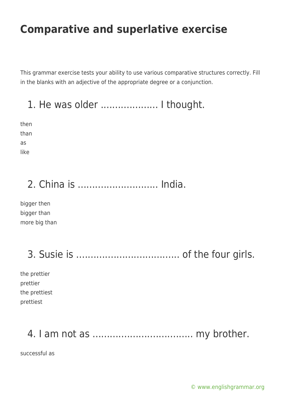This grammar exercise tests your ability to use various comparative structures correctly. Fill in the blanks with an adjective of the appropriate degree or a conjunction.

1. He was older .................... I thought.

then than as like

## 2. China is ............................ India.

bigger then bigger than more big than

## 3. Susie is .................................... of the four girls.

the prettier prettier the prettiest prettiest

#### 4. I am not as ................................... my brother.

successful as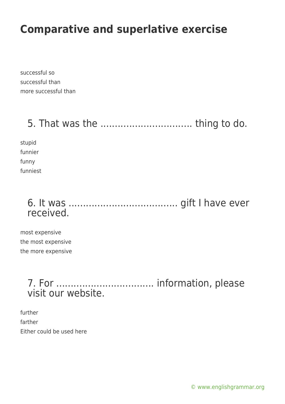successful so successful than more successful than

### 5. That was the ................................ thing to do.

stupid funnier funny funniest

#### 6. It was ...................................... gift I have ever received.

most expensive the most expensive the more expensive

#### 7. For .................................. information, please visit our website.

further farther Either could be used here

[© www.englishgrammar.org](https://www.englishgrammar.org/)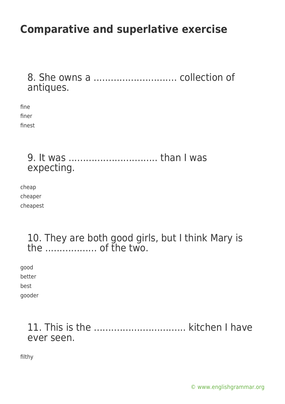8. She owns a ............................. collection of antiques.

fine finer finest

#### 9. It was ............................... than I was expecting.

cheap cheaper cheapest

#### 10. They are both good girls, but I think Mary is the .................. of the two.

good

better

best

gooder

#### 11. This is the ................................ kitchen I have ever seen.

filthy